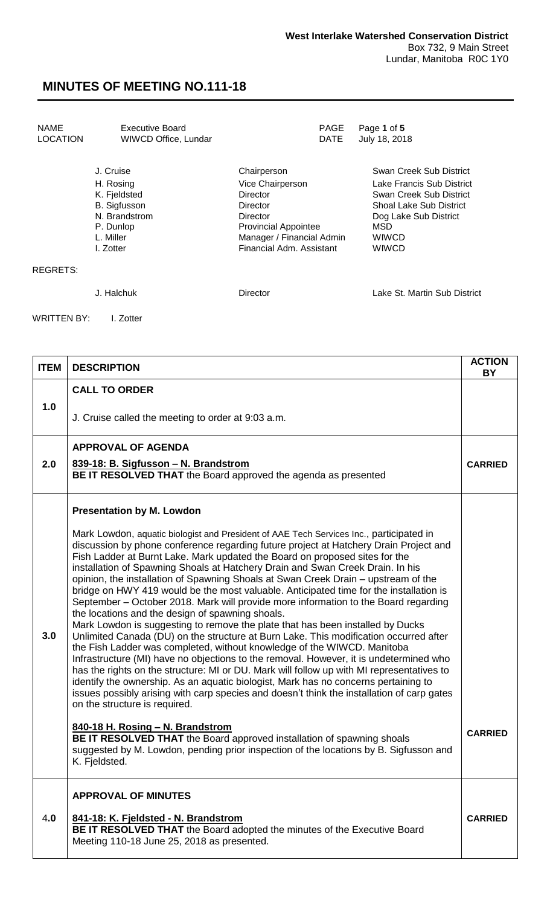| NAME     | Executive Board      | PAGE Page 1 of 5   |
|----------|----------------------|--------------------|
| LOCATION | WIWCD Office, Lundar | DATE July 18, 2018 |
|          |                      |                    |

|                 | J. Cruise           | Chairperson                 | Swan Creek Sub District        |
|-----------------|---------------------|-----------------------------|--------------------------------|
|                 | H. Rosing           | Vice Chairperson            | Lake Francis Sub District      |
|                 | K. Fjeldsted        | <b>Director</b>             | Swan Creek Sub District        |
|                 | <b>B.</b> Sigfusson | Director                    | <b>Shoal Lake Sub District</b> |
|                 | N. Brandstrom       | <b>Director</b>             | Dog Lake Sub District          |
|                 | P. Dunlop           | <b>Provincial Appointee</b> | MSD                            |
|                 | L. Miller           | Manager / Financial Admin   | <b>WIWCD</b>                   |
|                 | I. Zotter           | Financial Adm. Assistant    | <b>WIWCD</b>                   |
| <b>REGRETS:</b> |                     |                             |                                |
|                 | J. Halchuk          | Director                    | Lake St. Martin Sub District   |
|                 |                     |                             |                                |

WRITTEN BY: I. Zotter

| <b>ITEM</b> | <b>DESCRIPTION</b>                                                                                                                                                                                                                                                                                                                                                                                                                                                                                                                                                                                                                                                                                                                                                                                                                                                                                                                                                                                                                                                                                                                                                                                                                                                                                                                              | <b>ACTION</b><br>BY |
|-------------|-------------------------------------------------------------------------------------------------------------------------------------------------------------------------------------------------------------------------------------------------------------------------------------------------------------------------------------------------------------------------------------------------------------------------------------------------------------------------------------------------------------------------------------------------------------------------------------------------------------------------------------------------------------------------------------------------------------------------------------------------------------------------------------------------------------------------------------------------------------------------------------------------------------------------------------------------------------------------------------------------------------------------------------------------------------------------------------------------------------------------------------------------------------------------------------------------------------------------------------------------------------------------------------------------------------------------------------------------|---------------------|
|             | <b>CALL TO ORDER</b>                                                                                                                                                                                                                                                                                                                                                                                                                                                                                                                                                                                                                                                                                                                                                                                                                                                                                                                                                                                                                                                                                                                                                                                                                                                                                                                            |                     |
| 1.0         | J. Cruise called the meeting to order at 9:03 a.m.                                                                                                                                                                                                                                                                                                                                                                                                                                                                                                                                                                                                                                                                                                                                                                                                                                                                                                                                                                                                                                                                                                                                                                                                                                                                                              |                     |
|             | <b>APPROVAL OF AGENDA</b>                                                                                                                                                                                                                                                                                                                                                                                                                                                                                                                                                                                                                                                                                                                                                                                                                                                                                                                                                                                                                                                                                                                                                                                                                                                                                                                       |                     |
| 2.0         | 839-18: B. Sigfusson - N. Brandstrom<br>BE IT RESOLVED THAT the Board approved the agenda as presented                                                                                                                                                                                                                                                                                                                                                                                                                                                                                                                                                                                                                                                                                                                                                                                                                                                                                                                                                                                                                                                                                                                                                                                                                                          | <b>CARRIED</b>      |
|             | <b>Presentation by M. Lowdon</b>                                                                                                                                                                                                                                                                                                                                                                                                                                                                                                                                                                                                                                                                                                                                                                                                                                                                                                                                                                                                                                                                                                                                                                                                                                                                                                                |                     |
| 3.0         | Mark Lowdon, aquatic biologist and President of AAE Tech Services Inc., participated in<br>discussion by phone conference regarding future project at Hatchery Drain Project and<br>Fish Ladder at Burnt Lake. Mark updated the Board on proposed sites for the<br>installation of Spawning Shoals at Hatchery Drain and Swan Creek Drain. In his<br>opinion, the installation of Spawning Shoals at Swan Creek Drain - upstream of the<br>bridge on HWY 419 would be the most valuable. Anticipated time for the installation is<br>September – October 2018. Mark will provide more information to the Board regarding<br>the locations and the design of spawning shoals.<br>Mark Lowdon is suggesting to remove the plate that has been installed by Ducks<br>Unlimited Canada (DU) on the structure at Burn Lake. This modification occurred after<br>the Fish Ladder was completed, without knowledge of the WIWCD. Manitoba<br>Infrastructure (MI) have no objections to the removal. However, it is undetermined who<br>has the rights on the structure: MI or DU. Mark will follow up with MI representatives to<br>identify the ownership. As an aquatic biologist, Mark has no concerns pertaining to<br>issues possibly arising with carp species and doesn't think the installation of carp gates<br>on the structure is required. |                     |
|             | 840-18 H. Rosing - N. Brandstrom<br>BE IT RESOLVED THAT the Board approved installation of spawning shoals<br>suggested by M. Lowdon, pending prior inspection of the locations by B. Sigfusson and<br>K. Fjeldsted.                                                                                                                                                                                                                                                                                                                                                                                                                                                                                                                                                                                                                                                                                                                                                                                                                                                                                                                                                                                                                                                                                                                            | <b>CARRIED</b>      |
|             | <b>APPROVAL OF MINUTES</b>                                                                                                                                                                                                                                                                                                                                                                                                                                                                                                                                                                                                                                                                                                                                                                                                                                                                                                                                                                                                                                                                                                                                                                                                                                                                                                                      |                     |
| 4.0         | 841-18: K. Fjeldsted - N. Brandstrom<br>BE IT RESOLVED THAT the Board adopted the minutes of the Executive Board<br>Meeting 110-18 June 25, 2018 as presented.                                                                                                                                                                                                                                                                                                                                                                                                                                                                                                                                                                                                                                                                                                                                                                                                                                                                                                                                                                                                                                                                                                                                                                                  | <b>CARRIED</b>      |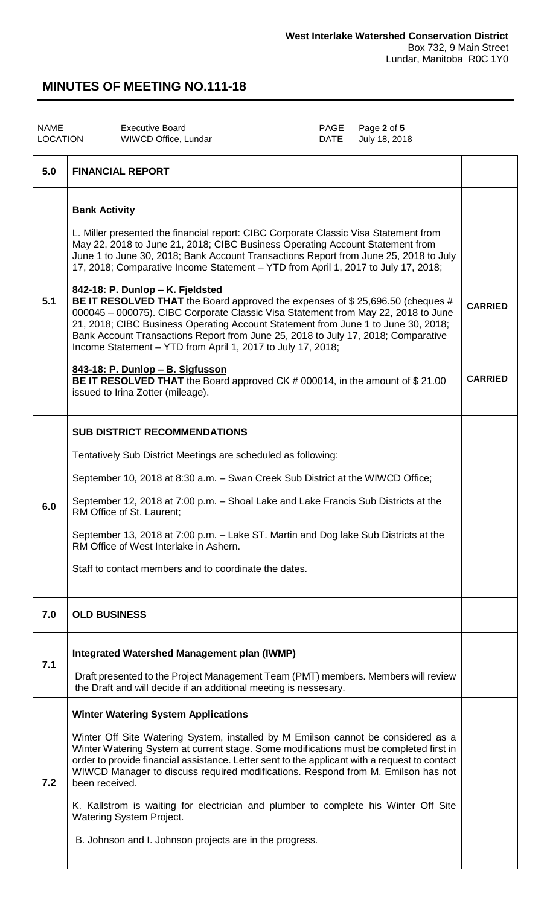| <b>NAME</b><br>LOCATION | <b>Executive Board</b><br>WIWCD Office, Lundar                                                                                                                                                                                                                                                                                                                                                                                                                                                                                                                                                                                                                                                                                                                                                                                                                                                                                                                                                | PAGE<br>DATE | Page 2 of 5<br>July 18, 2018 |                                  |
|-------------------------|-----------------------------------------------------------------------------------------------------------------------------------------------------------------------------------------------------------------------------------------------------------------------------------------------------------------------------------------------------------------------------------------------------------------------------------------------------------------------------------------------------------------------------------------------------------------------------------------------------------------------------------------------------------------------------------------------------------------------------------------------------------------------------------------------------------------------------------------------------------------------------------------------------------------------------------------------------------------------------------------------|--------------|------------------------------|----------------------------------|
| 5.0                     | <b>FINANCIAL REPORT</b>                                                                                                                                                                                                                                                                                                                                                                                                                                                                                                                                                                                                                                                                                                                                                                                                                                                                                                                                                                       |              |                              |                                  |
| 5.1                     | <b>Bank Activity</b><br>L. Miller presented the financial report: CIBC Corporate Classic Visa Statement from<br>May 22, 2018 to June 21, 2018; CIBC Business Operating Account Statement from<br>June 1 to June 30, 2018; Bank Account Transactions Report from June 25, 2018 to July<br>17, 2018; Comparative Income Statement - YTD from April 1, 2017 to July 17, 2018;<br>842-18: P. Dunlop - K. Fjeldsted<br>BE IT RESOLVED THAT the Board approved the expenses of \$25,696.50 (cheques #<br>000045 - 000075). CIBC Corporate Classic Visa Statement from May 22, 2018 to June<br>21, 2018; CIBC Business Operating Account Statement from June 1 to June 30, 2018;<br>Bank Account Transactions Report from June 25, 2018 to July 17, 2018; Comparative<br>Income Statement - YTD from April 1, 2017 to July 17, 2018;<br>843-18: P. Dunlop - B. Sigfusson<br><b>BE IT RESOLVED THAT</b> the Board approved CK # 000014, in the amount of \$21.00<br>issued to Irina Zotter (mileage). |              |                              | <b>CARRIED</b><br><b>CARRIED</b> |
| 6.0                     | <b>SUB DISTRICT RECOMMENDATIONS</b><br>Tentatively Sub District Meetings are scheduled as following:<br>September 10, 2018 at 8:30 a.m. - Swan Creek Sub District at the WIWCD Office;<br>September 12, 2018 at 7:00 p.m. - Shoal Lake and Lake Francis Sub Districts at the<br>RM Office of St. Laurent;<br>September 13, 2018 at 7:00 p.m. - Lake ST. Martin and Dog lake Sub Districts at the<br>RM Office of West Interlake in Ashern.<br>Staff to contact members and to coordinate the dates.                                                                                                                                                                                                                                                                                                                                                                                                                                                                                           |              |                              |                                  |
| 7.0                     | <b>OLD BUSINESS</b>                                                                                                                                                                                                                                                                                                                                                                                                                                                                                                                                                                                                                                                                                                                                                                                                                                                                                                                                                                           |              |                              |                                  |
| 7.1                     | Integrated Watershed Management plan (IWMP)<br>Draft presented to the Project Management Team (PMT) members. Members will review<br>the Draft and will decide if an additional meeting is nessesary.                                                                                                                                                                                                                                                                                                                                                                                                                                                                                                                                                                                                                                                                                                                                                                                          |              |                              |                                  |
| 7.2                     | <b>Winter Watering System Applications</b><br>Winter Off Site Watering System, installed by M Emilson cannot be considered as a<br>Winter Watering System at current stage. Some modifications must be completed first in<br>order to provide financial assistance. Letter sent to the applicant with a request to contact<br>WIWCD Manager to discuss required modifications. Respond from M. Emilson has not<br>been received.<br>K. Kallstrom is waiting for electrician and plumber to complete his Winter Off Site<br><b>Watering System Project.</b><br>B. Johnson and I. Johnson projects are in the progress.                                                                                                                                                                                                                                                                                                                                                                         |              |                              |                                  |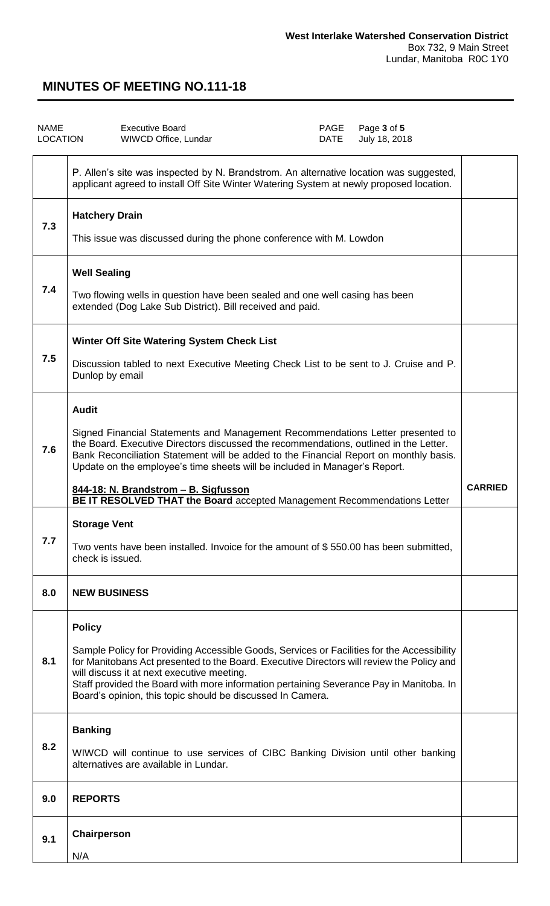| <b>NAME</b><br>LOCATION |                                                                                                                                                                 | <b>Executive Board</b><br>WIWCD Office, Lundar                                                                                                                                                                                                                                                                                                                                                                                                                     | PAGE<br>DATE | Page 3 of 5 | July 18, 2018 |                |  |
|-------------------------|-----------------------------------------------------------------------------------------------------------------------------------------------------------------|--------------------------------------------------------------------------------------------------------------------------------------------------------------------------------------------------------------------------------------------------------------------------------------------------------------------------------------------------------------------------------------------------------------------------------------------------------------------|--------------|-------------|---------------|----------------|--|
|                         |                                                                                                                                                                 | P. Allen's site was inspected by N. Brandstrom. An alternative location was suggested,<br>applicant agreed to install Off Site Winter Watering System at newly proposed location.                                                                                                                                                                                                                                                                                  |              |             |               |                |  |
| 7.3                     | <b>Hatchery Drain</b>                                                                                                                                           | This issue was discussed during the phone conference with M. Lowdon                                                                                                                                                                                                                                                                                                                                                                                                |              |             |               |                |  |
| 7.4                     | <b>Well Sealing</b><br>Two flowing wells in question have been sealed and one well casing has been<br>extended (Dog Lake Sub District). Bill received and paid. |                                                                                                                                                                                                                                                                                                                                                                                                                                                                    |              |             |               |                |  |
| 7.5                     | Dunlop by email                                                                                                                                                 | Winter Off Site Watering System Check List<br>Discussion tabled to next Executive Meeting Check List to be sent to J. Cruise and P.                                                                                                                                                                                                                                                                                                                                |              |             |               |                |  |
| 7.6                     | <b>Audit</b>                                                                                                                                                    | Signed Financial Statements and Management Recommendations Letter presented to<br>the Board. Executive Directors discussed the recommendations, outlined in the Letter.<br>Bank Reconciliation Statement will be added to the Financial Report on monthly basis.<br>Update on the employee's time sheets will be included in Manager's Report.<br>844-18: N. Brandstrom - B. Sigfusson<br>BE IT RESOLVED THAT the Board accepted Management Recommendations Letter |              |             |               | <b>CARRIED</b> |  |
| 7.7                     | <b>Storage Vent</b><br>check is issued.                                                                                                                         | Two vents have been installed. Invoice for the amount of \$550.00 has been submitted,                                                                                                                                                                                                                                                                                                                                                                              |              |             |               |                |  |
| 8.0                     | <b>NEW BUSINESS</b>                                                                                                                                             |                                                                                                                                                                                                                                                                                                                                                                                                                                                                    |              |             |               |                |  |
| 8.1                     | <b>Policy</b>                                                                                                                                                   | Sample Policy for Providing Accessible Goods, Services or Facilities for the Accessibility<br>for Manitobans Act presented to the Board. Executive Directors will review the Policy and<br>will discuss it at next executive meeting.<br>Staff provided the Board with more information pertaining Severance Pay in Manitoba. In<br>Board's opinion, this topic should be discussed In Camera.                                                                     |              |             |               |                |  |
| 8.2                     | <b>Banking</b>                                                                                                                                                  | WIWCD will continue to use services of CIBC Banking Division until other banking<br>alternatives are available in Lundar.                                                                                                                                                                                                                                                                                                                                          |              |             |               |                |  |
| 9.0                     | <b>REPORTS</b>                                                                                                                                                  |                                                                                                                                                                                                                                                                                                                                                                                                                                                                    |              |             |               |                |  |
| 9.1                     | Chairperson<br>N/A                                                                                                                                              |                                                                                                                                                                                                                                                                                                                                                                                                                                                                    |              |             |               |                |  |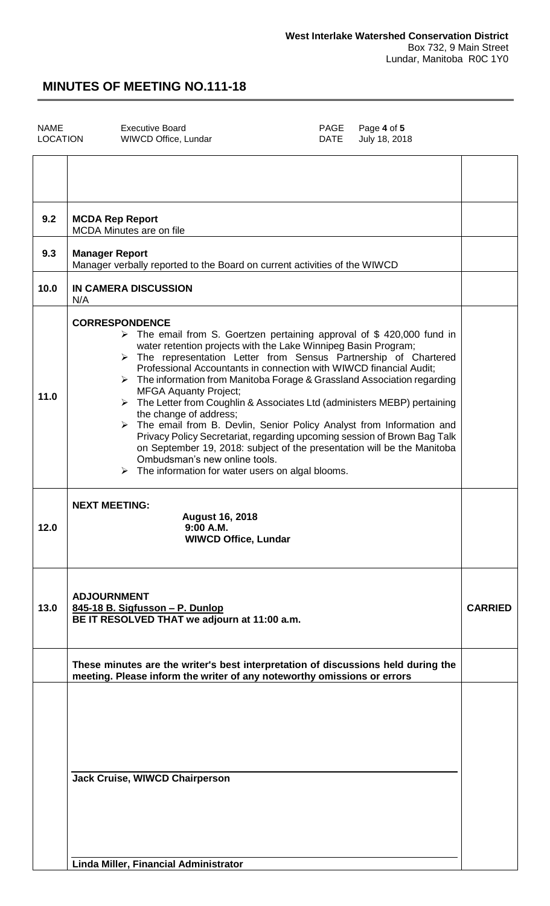| <b>NAME</b><br><b>LOCATION</b> | <b>Executive Board</b><br>PAGE<br>Page 4 of 5<br>DATE<br>July 18, 2018<br>WIWCD Office, Lundar                                                                                                                                                                                                                                                                                                                                                                                                                                                                                                                                                                                                                                                                                                                                                                                                                    |                |
|--------------------------------|-------------------------------------------------------------------------------------------------------------------------------------------------------------------------------------------------------------------------------------------------------------------------------------------------------------------------------------------------------------------------------------------------------------------------------------------------------------------------------------------------------------------------------------------------------------------------------------------------------------------------------------------------------------------------------------------------------------------------------------------------------------------------------------------------------------------------------------------------------------------------------------------------------------------|----------------|
|                                |                                                                                                                                                                                                                                                                                                                                                                                                                                                                                                                                                                                                                                                                                                                                                                                                                                                                                                                   |                |
| 9.2                            | <b>MCDA Rep Report</b><br><b>MCDA Minutes are on file</b>                                                                                                                                                                                                                                                                                                                                                                                                                                                                                                                                                                                                                                                                                                                                                                                                                                                         |                |
| 9.3                            | <b>Manager Report</b><br>Manager verbally reported to the Board on current activities of the WIWCD                                                                                                                                                                                                                                                                                                                                                                                                                                                                                                                                                                                                                                                                                                                                                                                                                |                |
| 10.0                           | <b>IN CAMERA DISCUSSION</b><br>N/A                                                                                                                                                                                                                                                                                                                                                                                                                                                                                                                                                                                                                                                                                                                                                                                                                                                                                |                |
| 11.0                           | <b>CORRESPONDENCE</b><br>$\triangleright$ The email from S. Goertzen pertaining approval of \$420,000 fund in<br>water retention projects with the Lake Winnipeg Basin Program;<br>> The representation Letter from Sensus Partnership of Chartered<br>Professional Accountants in connection with WIWCD financial Audit;<br>$\triangleright$ The information from Manitoba Forage & Grassland Association regarding<br><b>MFGA Aquanty Project;</b><br>$\triangleright$ The Letter from Coughlin & Associates Ltd (administers MEBP) pertaining<br>the change of address;<br>> The email from B. Devlin, Senior Policy Analyst from Information and<br>Privacy Policy Secretariat, regarding upcoming session of Brown Bag Talk<br>on September 19, 2018: subject of the presentation will be the Manitoba<br>Ombudsman's new online tools.<br>$\triangleright$ The information for water users on algal blooms. |                |
| 12.0                           | <b>NEXT MEETING:</b><br><b>August 16, 2018</b><br>9:00 A.M.<br><b>WIWCD Office, Lundar</b>                                                                                                                                                                                                                                                                                                                                                                                                                                                                                                                                                                                                                                                                                                                                                                                                                        |                |
| 13.0                           | <b>ADJOURNMENT</b><br>845-18 B. Sigfusson - P. Dunlop<br>BE IT RESOLVED THAT we adjourn at 11:00 a.m.                                                                                                                                                                                                                                                                                                                                                                                                                                                                                                                                                                                                                                                                                                                                                                                                             | <b>CARRIED</b> |
|                                | These minutes are the writer's best interpretation of discussions held during the<br>meeting. Please inform the writer of any noteworthy omissions or errors                                                                                                                                                                                                                                                                                                                                                                                                                                                                                                                                                                                                                                                                                                                                                      |                |
|                                | <b>Jack Cruise, WIWCD Chairperson</b>                                                                                                                                                                                                                                                                                                                                                                                                                                                                                                                                                                                                                                                                                                                                                                                                                                                                             |                |

**Linda Miller, Financial Administrator**